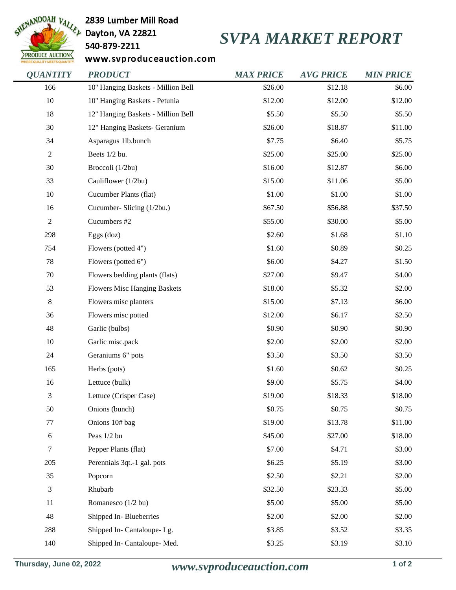

2839 Lumber Mill Road

540-879-2211

## *SVPA MARKET REPORT*

www.svproduceauction.com

| <b>QUANTITY</b>  | <b>PRODUCT</b>                      | <b>MAX PRICE</b> | <b>AVG PRICE</b> | <b>MIN PRICE</b> |
|------------------|-------------------------------------|------------------|------------------|------------------|
| 166              | 10" Hanging Baskets - Million Bell  | \$26.00          | \$12.18          | \$6.00           |
| 10               | 10" Hanging Baskets - Petunia       | \$12.00          | \$12.00          | \$12.00          |
| 18               | 12" Hanging Baskets - Million Bell  | \$5.50           | \$5.50           | \$5.50           |
| 30               | 12" Hanging Baskets- Geranium       | \$26.00          | \$18.87          | \$11.00          |
| 34               | Asparagus 1lb.bunch                 | \$7.75           | \$6.40           | \$5.75           |
| $\sqrt{2}$       | Beets 1/2 bu.                       | \$25.00          | \$25.00          | \$25.00          |
| 30               | Broccoli (1/2bu)                    | \$16.00          | \$12.87          | \$6.00           |
| 33               | Cauliflower (1/2bu)                 | \$15.00          | \$11.06          | \$5.00           |
| 10               | Cucumber Plants (flat)              | \$1.00           | \$1.00           | \$1.00           |
| 16               | Cucumber- Slicing (1/2bu.)          | \$67.50          | \$56.88          | \$37.50          |
| $\boldsymbol{2}$ | Cucumbers #2                        | \$55.00          | \$30.00          | \$5.00           |
| 298              | Eggs (doz)                          | \$2.60           | \$1.68           | \$1.10           |
| 754              | Flowers (potted 4")                 | \$1.60           | \$0.89           | \$0.25           |
| 78               | Flowers (potted 6")                 | \$6.00           | \$4.27           | \$1.50           |
| $70\,$           | Flowers bedding plants (flats)      | \$27.00          | \$9.47           | \$4.00           |
| 53               | <b>Flowers Misc Hanging Baskets</b> | \$18.00          | \$5.32           | \$2.00           |
| $\,8\,$          | Flowers misc planters               | \$15.00          | \$7.13           | \$6.00           |
| 36               | Flowers misc potted                 | \$12.00          | \$6.17           | \$2.50           |
| 48               | Garlic (bulbs)                      | \$0.90           | \$0.90           | \$0.90           |
| 10               | Garlic misc.pack                    | \$2.00           | \$2.00           | \$2.00           |
| 24               | Geraniums 6" pots                   | \$3.50           | \$3.50           | \$3.50           |
| 165              | Herbs (pots)                        | \$1.60           | \$0.62           | \$0.25           |
| 16               | Lettuce (bulk)                      | \$9.00           | \$5.75           | \$4.00           |
| 3                | Lettuce (Crisper Case)              | \$19.00          | \$18.33          | \$18.00          |
| 50               | Onions (bunch)                      | \$0.75           | \$0.75           | \$0.75           |
| $77 \,$          | Onions 10# bag                      | \$19.00          | \$13.78          | \$11.00          |
| 6                | Peas 1/2 bu                         | \$45.00          | \$27.00          | \$18.00          |
| $\tau$           | Pepper Plants (flat)                | \$7.00           | \$4.71           | \$3.00           |
| 205              | Perennials 3qt.-1 gal. pots         | \$6.25           | \$5.19           | \$3.00           |
| 35               | Popcorn                             | \$2.50           | \$2.21           | \$2.00           |
| 3                | Rhubarb                             | \$32.50          | \$23.33          | \$5.00           |
| 11               | Romanesco (1/2 bu)                  | \$5.00           | \$5.00           | \$5.00           |
| 48               | Shipped In-Blueberries              | \$2.00           | \$2.00           | \$2.00           |
| 288              | Shipped In- Cantaloupe-Lg.          | \$3.85           | \$3.52           | \$3.35           |
| 140              | Shipped In- Cantaloupe-Med.         | \$3.25           | \$3.19           | \$3.10           |
|                  |                                     |                  |                  |                  |